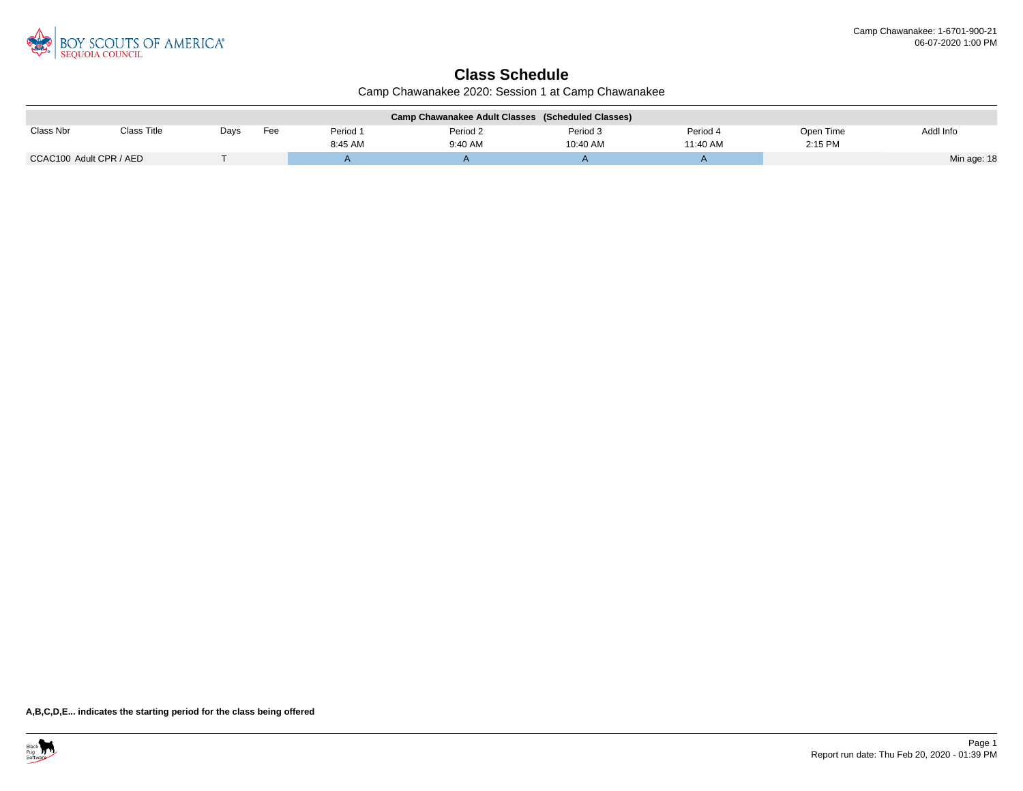

## **Class Schedule**

Camp Chawanakee 2020: Session 1 at Camp Chawanakee

| Camp Chawanakee Adult Classes (Scheduled Classes) |             |      |     |          |          |          |          |           |             |  |
|---------------------------------------------------|-------------|------|-----|----------|----------|----------|----------|-----------|-------------|--|
| Class Nbr                                         | Class Title | Days | Fee | Period 1 | Period 2 | Period 3 | Period 4 | Open Time | Addl Info   |  |
|                                                   |             |      |     | 8:45 AM  | 9:40 AM  | 10:40 AM | 11:40 AM | 2:15 PM   |             |  |
| CCAC100 Adult CPR / AED                           |             |      |     |          |          |          |          |           | Min age: 18 |  |

**A,B,C,D,E... indicates the starting period for the class being offered**

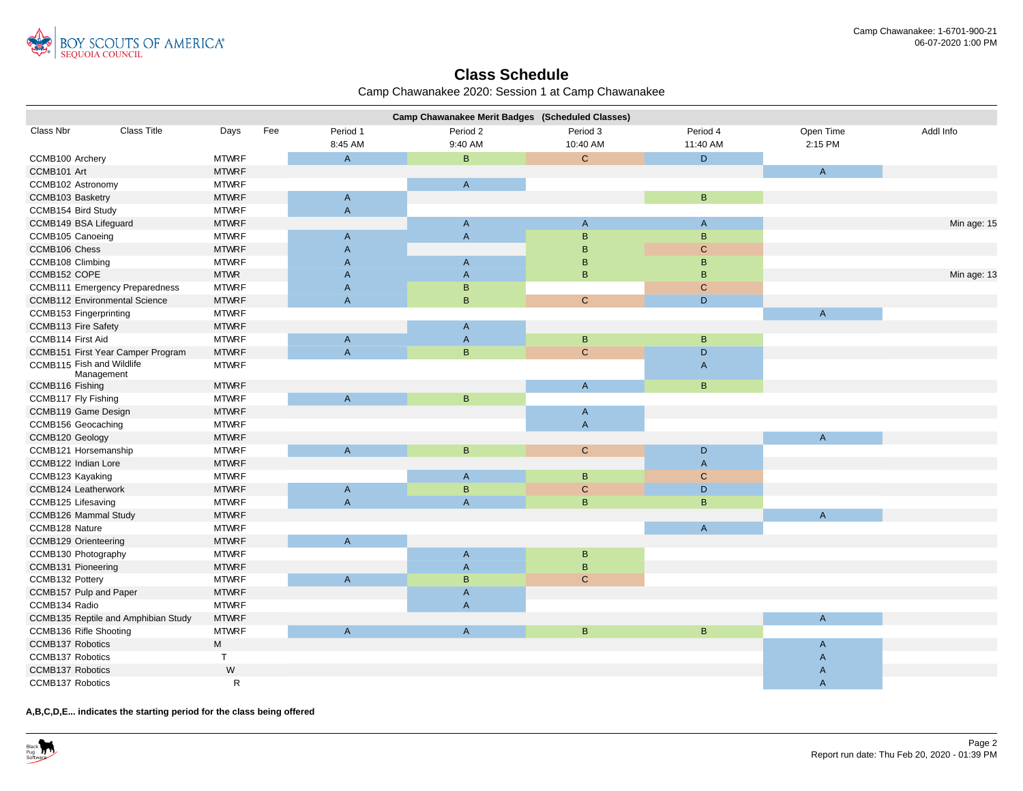

## **Class Schedule**

| Camp Chawanakee 2020: Session 1 at Camp Chawanakee |  |  |  |  |
|----------------------------------------------------|--|--|--|--|
|----------------------------------------------------|--|--|--|--|

|                                         |                                       |              |     |                | Camp Chawanakee Merit Badges (Scheduled Classes) |                |                |                |             |
|-----------------------------------------|---------------------------------------|--------------|-----|----------------|--------------------------------------------------|----------------|----------------|----------------|-------------|
| Class Nbr                               | <b>Class Title</b>                    | Days         | Fee | Period 1       | Period 2                                         | Period 3       | Period 4       | Open Time      | Addl Info   |
|                                         |                                       |              |     | 8:45 AM        | 9:40 AM                                          | 10:40 AM       | 11:40 AM       | 2:15 PM        |             |
| CCMB100 Archery                         |                                       | <b>MTWRF</b> |     | $\overline{A}$ | B                                                | $\mathbf{C}$   | D              |                |             |
| CCMB101 Art                             |                                       | <b>MTWRF</b> |     |                |                                                  |                |                | $\mathsf{A}$   |             |
| CCMB102 Astronomy                       |                                       | <b>MTWRF</b> |     |                | $\overline{A}$                                   |                |                |                |             |
| CCMB103 Basketry                        |                                       | <b>MTWRF</b> |     | $\mathsf A$    |                                                  |                | $\mathsf{B}$   |                |             |
| CCMB154 Bird Study                      |                                       | <b>MTWRF</b> |     | $\overline{A}$ |                                                  |                |                |                |             |
| CCMB149 BSA Lifeguard                   |                                       | <b>MTWRF</b> |     |                | $\mathsf{A}$                                     | $\mathsf{A}$   | $\mathsf{A}$   |                | Min age: 15 |
| CCMB105 Canoeing                        |                                       | <b>MTWRF</b> |     | $\overline{A}$ | $\mathsf{A}$                                     | $\mathsf B$    | $\overline{B}$ |                |             |
| CCMB106 Chess                           |                                       | <b>MTWRF</b> |     | $\overline{A}$ |                                                  | $\mathsf B$    | $\mathbf C$    |                |             |
| CCMB108 Climbing                        |                                       | <b>MTWRF</b> |     | $\overline{A}$ | A                                                | B              | B              |                |             |
| CCMB152 COPE                            |                                       | <b>MTWR</b>  |     | $\overline{A}$ | $\overline{A}$                                   | B.             | $\overline{B}$ |                | Min age: 13 |
|                                         | <b>CCMB111 Emergency Preparedness</b> | <b>MTWRF</b> |     | $\overline{A}$ | $\mathsf B$                                      |                | $\mathsf C$    |                |             |
| <b>CCMB112 Environmental Science</b>    |                                       | <b>MTWRF</b> |     | $\overline{A}$ | B                                                | $\mathbf{C}$   | D              |                |             |
| <b>CCMB153 Fingerprinting</b>           |                                       | <b>MTWRF</b> |     |                |                                                  |                |                | $\overline{A}$ |             |
| CCMB113 Fire Safety                     |                                       | <b>MTWRF</b> |     |                | $\mathsf{A}$                                     |                |                |                |             |
| CCMB114 First Aid                       |                                       | <b>MTWRF</b> |     | $\mathsf{A}$   | $\overline{A}$                                   | B              | B              |                |             |
|                                         | CCMB151 First Year Camper Program     | <b>MTWRF</b> |     | $\overline{A}$ | B                                                | $\mathbf{C}$   | D              |                |             |
| CCMB115 Fish and Wildlife<br>Management |                                       | <b>MTWRF</b> |     |                |                                                  |                | $\mathsf{A}$   |                |             |
| CCMB116 Fishing                         |                                       | <b>MTWRF</b> |     |                |                                                  | $\overline{A}$ | $\,$ B         |                |             |
| CCMB117 Fly Fishing                     |                                       | <b>MTWRF</b> |     | $\overline{A}$ | $\mathsf B$                                      |                |                |                |             |
| CCMB119 Game Design                     |                                       | <b>MTWRF</b> |     |                |                                                  | $\mathsf{A}$   |                |                |             |
| CCMB156 Geocaching                      |                                       | <b>MTWRF</b> |     |                |                                                  | $\overline{A}$ |                |                |             |
| CCMB120 Geology                         |                                       | <b>MTWRF</b> |     |                |                                                  |                |                | $\overline{A}$ |             |
| CCMB121 Horsemanship                    |                                       | <b>MTWRF</b> |     | $\overline{A}$ | B                                                | $\mathbf{C}$   | D              |                |             |
| CCMB122 Indian Lore                     |                                       | <b>MTWRF</b> |     |                |                                                  |                | $\overline{A}$ |                |             |
| CCMB123 Kayaking                        |                                       | <b>MTWRF</b> |     |                | $\mathsf{A}$                                     | B              | $\mathbf C$    |                |             |
| CCMB124 Leatherwork                     |                                       | <b>MTWRF</b> |     | $\mathsf{A}$   | $\mathsf B$                                      | $\mathbf C$    | $\mathsf D$    |                |             |
| CCMB125 Lifesaving                      |                                       | <b>MTWRF</b> |     | $\overline{A}$ | $\overline{A}$                                   | B              | $\,$ B         |                |             |
| CCMB126 Mammal Study                    |                                       | <b>MTWRF</b> |     |                |                                                  |                |                | $\overline{A}$ |             |
| CCMB128 Nature                          |                                       | <b>MTWRF</b> |     |                |                                                  |                | $\mathsf{A}$   |                |             |
| CCMB129 Orienteering                    |                                       | <b>MTWRF</b> |     | $\overline{A}$ |                                                  |                |                |                |             |
| CCMB130 Photography                     |                                       | <b>MTWRF</b> |     |                | A                                                | $\, {\bf B}$   |                |                |             |
| CCMB131 Pioneering                      |                                       | <b>MTWRF</b> |     |                | $\overline{A}$                                   | $\sf{B}$       |                |                |             |
| CCMB132 Pottery                         |                                       | <b>MTWRF</b> |     | $\overline{A}$ | B                                                | $\mathbf{C}$   |                |                |             |
| CCMB157 Pulp and Paper                  |                                       | <b>MTWRF</b> |     |                | A                                                |                |                |                |             |
| CCMB134 Radio                           |                                       | <b>MTWRF</b> |     |                | $\overline{A}$                                   |                |                |                |             |
|                                         | CCMB135 Reptile and Amphibian Study   | <b>MTWRF</b> |     |                |                                                  |                |                | $\overline{A}$ |             |
| CCMB136 Rifle Shooting                  |                                       | <b>MTWRF</b> |     | $\overline{A}$ | $\mathsf{A}$                                     | $\mathsf{B}$   | $\, {\bf B}$   |                |             |
| CCMB137 Robotics                        |                                       | M            |     |                |                                                  |                |                | A              |             |
| CCMB137 Robotics                        |                                       | T            |     |                |                                                  |                |                | $\mathsf{A}$   |             |
| <b>CCMB137 Robotics</b>                 |                                       | W            |     |                |                                                  |                |                | $\mathsf{A}$   |             |
| <b>CCMB137 Robotics</b>                 |                                       | R            |     |                |                                                  |                |                | $\overline{A}$ |             |

**A,B,C,D,E... indicates the starting period for the class being offered**